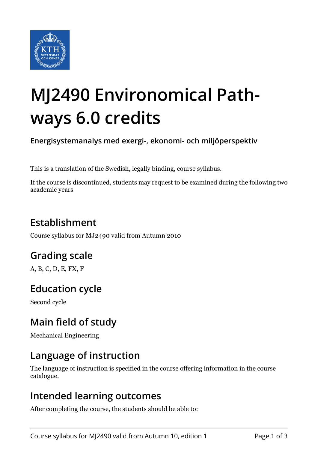

# **MJ2490 Environomical Pathways 6.0 credits**

**Energisystemanalys med exergi-, ekonomi- och miljöperspektiv**

This is a translation of the Swedish, legally binding, course syllabus.

If the course is discontinued, students may request to be examined during the following two academic years

# **Establishment**

Course syllabus for MJ2490 valid from Autumn 2010

# **Grading scale**

A, B, C, D, E, FX, F

# **Education cycle**

Second cycle

# **Main field of study**

Mechanical Engineering

#### **Language of instruction**

The language of instruction is specified in the course offering information in the course catalogue.

#### **Intended learning outcomes**

After completing the course, the students should be able to: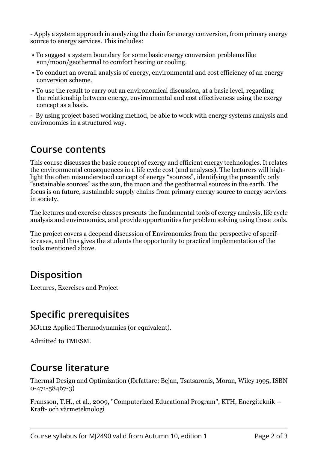- Apply a system approach in analyzing the chain for energy conversion, from primary energy source to energy services. This includes:

- To suggest a system boundary for some basic energy conversion problems like sun/moon/geothermal to comfort heating or cooling.
- To conduct an overall analysis of energy, environmental and cost efficiency of an energy conversion scheme.
- To use the result to carry out an environomical discussion, at a basic level, regarding the relationship between energy, environmental and cost effectiveness using the exergy concept as a basis.

- By using project based working method, be able to work with energy systems analysis and environomics in a structured way.

#### **Course contents**

This course discusses the basic concept of exergy and efficient energy technologies. It relates the environmental consequences in a life cycle cost (and analyses). The lecturers will highlight the often misunderstood concept of energy "sources", identifying the presently only "sustainable sources" as the sun, the moon and the geothermal sources in the earth. The focus is on future, sustainable supply chains from primary energy source to energy services in society.

The lectures and exercise classes presents the fundamental tools of exergy analysis, life cycle analysis and environomics, and provide opportunities for problem solving using these tools.

The project covers a deepend discussion of Environomics from the perspective of specific cases, and thus gives the students the opportunity to practical implementation of the tools mentioned above.

# **Disposition**

Lectures, Exercises and Project

#### **Specific prerequisites**

MJ1112 Applied Thermodynamics (or equivalent).

Admitted to TMESM.

# **Course literature**

Thermal Design and Optimization (författare: Bejan, Tsatsaronis, Moran, Wiley 1995, ISBN 0-471-58467-3)

Fransson, T.H., et al., 2009, "Computerized Educational Program", KTH, Energiteknik -- Kraft- och värmeteknologi